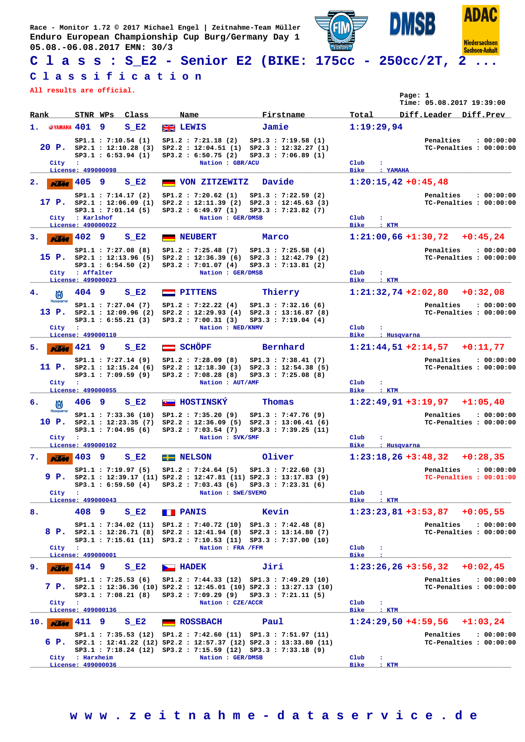**Race - Monitor 1.72 © 2017 Michael Engel | Zeitnahme-Team Müller Enduro European Championship Cup Burg/Germany Day 1 05.08.-06.08.2017 EMN: 30/3**



## **C l a s s : S\_E2 - Senior E2 (BIKE: 175cc - 250cc/2T, 2 ...**

## **C l a s s i f i c a t i o n**

**All results are official.**

|      | All results are official.         |                         |    |                                                                              |                             |                                                                                                                                                                                                              |       |                                                                              |                              |                      | Page: 1<br>Time: 05.08.2017 19:39:00 |                         |            |
|------|-----------------------------------|-------------------------|----|------------------------------------------------------------------------------|-----------------------------|--------------------------------------------------------------------------------------------------------------------------------------------------------------------------------------------------------------|-------|------------------------------------------------------------------------------|------------------------------|----------------------|--------------------------------------|-------------------------|------------|
| Rank |                                   |                         |    | STNR WPs Class                                                               | Name                        |                                                                                                                                                                                                              |       | Firstname                                                                    | Total                        |                      | Diff.Leader Diff.Prev                |                         |            |
| 1.   | @YAMAHA 401                       |                         | 9  | $S$ E2                                                                       | <b>SHEET LEWIS</b>          |                                                                                                                                                                                                              | Jamie |                                                                              |                              | 1:19:29.94           |                                      |                         |            |
|      | City                              | $\cdot$                 |    | SP1.1 : 7:10.54 (1)<br>$20$ P. $SP2.1$ : 12:10.28 (3)<br>SP3.1 : 6:53.94 (1) |                             | SP1.2 : 7:21.18 (2)<br>SP2.2: 12:04.51 (1) SP2.3: 12:32.27 (1)<br>SP3.2 : 6:50.75(2)<br>Nation : GBR/ACU                                                                                                     |       | SP1.3 : 7:19.58(1)<br>SP3.3 : 7:06.89(1)                                     | Club                         | ÷                    | Penalties                            | TC-Penalties : 00:00:00 | : 00:00:00 |
|      | License: 499000098                |                         |    |                                                                              |                             |                                                                                                                                                                                                              |       |                                                                              | <b>Bike</b>                  | : YAMAHA             |                                      |                         |            |
| 2.   | <b>KLM</b>                        | 405                     | 9  | $S$ E2<br>SP1.1 : 7:14.17(2)                                                 |                             | VON ZITZEWITZ<br>SP1.2 : 7:20.62(1)                                                                                                                                                                          |       | Davide<br>SP1.3 : 7:22.59 (2)                                                |                              |                      | $1:20:15,42+0:45,48$<br>Penalties    |                         | : 00:00:00 |
|      | City                              | : Karlshof              |    | 17 P. $SP2.1 : 12:06.09(1)$<br>$SP3.1$ : 7:01.14 (5)                         |                             | $SP2.2 : 12:11.39 (2) SP2.3 : 12:45.63 (3)$<br>SP3.2 : 6:49.97(1)<br>Nation : GER/DMSB                                                                                                                       |       | SP3.3 : 7:23.82 (7)                                                          | Club                         |                      |                                      | TC-Penalties : 00:00:00 |            |
| з.   | License: 490000022<br>Klaa        | 402                     | -9 | $S$ E2                                                                       |                             | <b>NEUBERT</b>                                                                                                                                                                                               | Marco |                                                                              | <b>Bike</b>                  | $:$ KTM              | $1:21:00,66 + 1:30,72$               | +0:45,24                |            |
|      |                                   |                         |    | SP1.1 : 7:27.08(8)<br>15 $P_$ . sp2.1 : 12:13.96 (5)<br>SP3.1 : 6:54.50 (2)  |                             | SP1.2 : 7:25.48(7)<br>$SP2.2 : 12:36.39(6) SP2.3 : 12:42.79(2)$<br>SP3.2 : 7:01.07(4)                                                                                                                        |       | SP1.3 : 7:25.58(4)<br>SP3.3 : 7:13.81 (2)                                    |                              |                      | Penalties                            | TC-Penalties : 00:00:00 | : 00:00:00 |
|      | License: 499000023                | City : Affalter         |    |                                                                              |                             | Nation : GER/DMSB                                                                                                                                                                                            |       |                                                                              | Club<br><b>Bike</b>          | ÷<br>: KTM           |                                      |                         |            |
| 4.   | 尚                                 | 404                     | 9  | $S$ E2                                                                       |                             | <b>PITTENS</b>                                                                                                                                                                                               |       | Thierry                                                                      |                              |                      | $1:21:32,74+2:02,80$ +0:32,08        |                         |            |
|      | <b>Husqvarna</b><br>13 P.         |                         |    | SP1.1 : 7:27.04 (7)<br>SP2.1 : 12:09.96(2)<br>SP3.1 : 6:55.21 (3)            |                             | SP1.2 : 7:22.22(4)<br>SP2.2: 12:29.93 (4) SP2.3: 13:16.87 (8)<br>SP3.2 : 7:00.31(3)                                                                                                                          |       | SP1.3 : 7:32.16(6)<br>SP3.3 : 7:19.04(4)                                     |                              |                      | Penalties                            | TC-Penalties : 00:00:00 | : 00:00:00 |
|      | City                              | ÷<br>License: 499000110 |    |                                                                              |                             | Nation : NED/KNMV                                                                                                                                                                                            |       |                                                                              | Club<br><b>Bike</b>          | : Husqvarna          |                                      |                         |            |
| 5.   | <b>KLAA</b>                       | 421 9                   |    | $S$ E <sub>2</sub>                                                           | SCHÖPF                      |                                                                                                                                                                                                              |       | Bernhard                                                                     |                              |                      | $1:21:44,51+2:14,57$ +0:11,77        |                         |            |
|      | 11 P.                             |                         |    | SP1.1 : 7:27.14 (9)<br>SP2.1 : 12:15.24 (6)<br>SP3.1 : 7:09.59(9)            |                             | SP1.2 : 7:28.09(8)<br>SP2.2 : 12:18.30 (3) SP2.3 : 12:54.38 (5)<br>SP3.2 : 7:08.28 (8)                                                                                                                       |       | SP1.3 : 7:38.41 (7)<br>SP3.3 : 7:25.08 (8)                                   |                              |                      | Penalties                            | TC-Penalties : 00:00:00 | : 00:00:00 |
|      | City<br>License: 499000055        | - 11                    |    |                                                                              |                             | Nation : AUT/AMF                                                                                                                                                                                             |       |                                                                              | Club<br><b>Bike</b>          | ÷<br>$:$ KTM         |                                      |                         |            |
| 6.   | 尚                                 | 406                     | -9 | $S$ E2                                                                       |                             | <b>B</b> HOSTINSKÝ                                                                                                                                                                                           |       | Thomas                                                                       |                              |                      | $1:22:49,91+3:19,97$                 | $+1:05,40$              |            |
|      | <b>Husqvarna</b><br>10 P.<br>City | $\cdot$                 |    | SP1.1 : 7:33.36 (10)<br>SP2.1 : 12:23.35 (7)<br>$SP3.1$ : 7:04.95 (6)        |                             | SP1.2 : 7:35.20(9)<br>SP2.2 : 12:36.09(5)<br>SP3.2 : 7:03.54 (7)<br>Nation : SVK/SMF                                                                                                                         |       | SP1.3 : 7:47.76(9)<br>SP2.3 : 13:06.41(6)<br>SP3.3: 7:39.25 (11)             | Club                         | $\ddot{\phantom{a}}$ | Penalties                            | TC-Penalties : 00:00:00 | : 00:00:00 |
|      | License: 499000102                |                         |    |                                                                              |                             |                                                                                                                                                                                                              |       |                                                                              | <b>Bike</b>                  | : Husqvarna          |                                      |                         |            |
| 7.   | $K$ $403$                         |                         | 9  | $S$ E2<br>SP1.1 : 7:19.97(5)                                                 | <b>ELE NELSON</b>           | SP1.2 : 7:24.64(5)                                                                                                                                                                                           |       | Oliver<br>SP1.3 : 7:22.60(3)                                                 |                              |                      | $1:23:18,26+3:48,32$<br>Penalties    | $+0:28,35$              | : 00:00:00 |
|      | 9 P.<br>City :                    |                         |    |                                                                              |                             | SP2.1: 12:39.17 (11) SP2.2: 12:47.81 (11) SP2.3: 13:17.83 (9)<br>SP3.1: 6:59.50 (4) SP3.2: 7:03.43 (6) SP3.3: 7:23.31 (6)<br>Nation : SWE/SVEMO                                                              |       |                                                                              | Club                         | ÷                    |                                      | TC-Penalties : 00:01:00 |            |
|      |                                   | License: 499000043      |    |                                                                              |                             |                                                                                                                                                                                                              |       |                                                                              | Bike                         | $:$ KTM              |                                      |                         |            |
| 8.   |                                   | 408 9                   |    | $S$ E <sub>2</sub>                                                           | <b>FRANIS</b>               |                                                                                                                                                                                                              | Kevin |                                                                              |                              |                      | $1:23:23,81+3:53,87$ +0:05,55        |                         |            |
|      |                                   |                         |    |                                                                              |                             | $SP1.1$ : 7:34.02 (11) $SP1.2$ : 7:40.72 (10) $SP1.3$ : 7:42.48 (8)<br>8 P. sp2.1 : 12:26.71 (8) Sp2.2 : 12:41.94 (8) Sp2.3 : 13:14.80 (7)<br>SP3.1 : 7:15.61 (11) SP3.2 : 7:10.53 (11) SP3.3 : 7:37.00 (10) |       |                                                                              |                              |                      | Penalties                            | TC-Penalties : 00:00:00 | : 00:00:00 |
|      | City :<br>License: 499000001      |                         |    |                                                                              |                             | Nation : FRA / FFM                                                                                                                                                                                           |       |                                                                              | Club<br><b>Bike</b>          | ÷                    |                                      |                         |            |
| 9.   | <b>Klist</b>                      | 414 9                   |    | $S$ E2                                                                       | $\blacktriangleright$ HADEK |                                                                                                                                                                                                              | Jiri  |                                                                              |                              |                      | $1:23:26,26+3:56,32$ +0:02,45        |                         |            |
|      |                                   |                         |    | SP1.1 : 7:25.53(6)                                                           |                             | $SP1.2 : 7:44.33(12) SP1.3 : 7:49.29(10)$<br>SP3.1: 7:08.21 (8) SP3.2: 7:09.29 (9) SP3.3: 7:21.11 (5)                                                                                                        |       | 7 P. SP2.1 : 12:36.36 (10) SP2.2 : 12:45.01 (10) SP2.3 : 13:27.13 (10)       |                              |                      | Penalties                            | TC-Penalties : 00:00:00 | : 00:00:00 |
|      | City<br>License: 499000136        | - 11                    |    |                                                                              |                             | Nation : CZE/ACCR                                                                                                                                                                                            |       |                                                                              | $_{\rm Club}$<br>Bike        | ÷<br>$:$ KTM         |                                      |                         |            |
| 10.l | <b>KUM</b>                        | 411 9                   |    | $S$ E2                                                                       |                             | <b>ROSSBACH</b>                                                                                                                                                                                              | Paul  |                                                                              |                              |                      | $1:24:29,50 + 4:59,56 + 1:03,24$     |                         |            |
|      |                                   |                         |    |                                                                              |                             | SP1.1: 7:35.53 (12) SP1.2: 7:42.60 (11) SP1.3: 7:51.97 (11)<br>SP3.1: 7:18.24 (12) SP3.2: 7:15.59 (12) SP3.3: 7:33.18 (9)                                                                                    |       | 6 P. $SP2.1$ : 12:41.22 (12) $SP2.2$ : 12:57.37 (12) $SP2.3$ : 13:33.80 (11) |                              |                      | Penalties                            | TC-Penalties : 00:00:00 | : 00:00:00 |
|      | License: 499000036                | City : Harxheim         |    |                                                                              |                             | Nation : GER/DMSB                                                                                                                                                                                            |       |                                                                              | $_{\rm Club}$<br><b>Bike</b> | ÷<br>$:$ KTM         |                                      |                         |            |